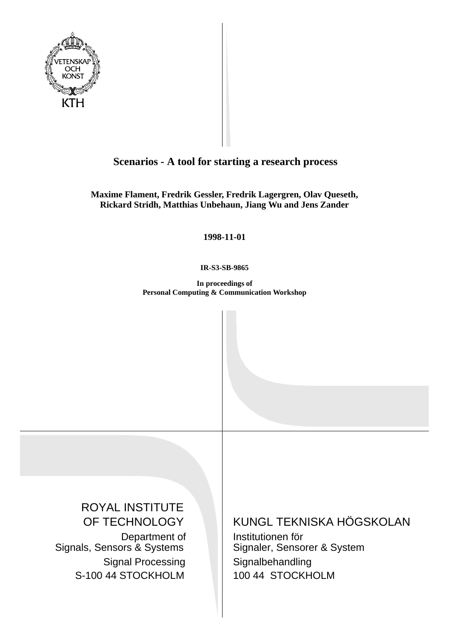

# **Scenarios - A tool for starting a research process**

**Maxime Flament, Fredrik Gessler, Fredrik Lagergren, Olav Queseth, Rickard Stridh, Matthias Unbehaun, Jiang Wu and Jens Zander**

**1998-11-01**

**IR-S3-SB-9865**

**In proceedings of Personal Computing & Communication Workshop**

ROYAL INSTITUTE OF TECHNOLOGY Department of Signals, Sensors & Systems Signal Processing S-100 44 STOCKHOLM

# KUNGL TEKNISKA HÖGSKOLAN

Institutionen för Signaler, Sensorer & System Signalbehandling 100 44 STOCKHOLM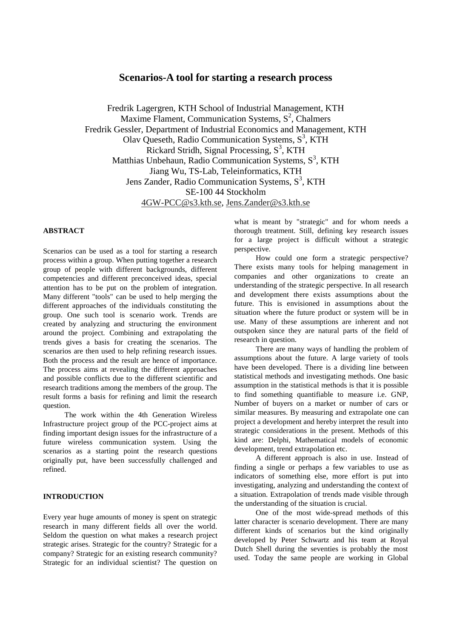# **Scenarios-A tool for starting a research process**

Fredrik Lagergren, KTH School of Industrial Management, KTH Maxime Flament, Communication Systems,  $S^2$ , Chalmers Fredrik Gessler, Department of Industrial Economics and Management, KTH Olav Queseth, Radio Communication Systems,  $S^3$ , KTH Rickard Stridh, Signal Processing,  $S<sup>3</sup>$ , KTH Matthias Unbehaun, Radio Communication Systems, S<sup>3</sup>, KTH Jiang Wu, TS-Lab, Teleinformatics, KTH Jens Zander, Radio Communication Systems, S<sup>3</sup>, KTH SE-100 44 Stockholm 4GW-PCC@s3.kth.se, Jens.Zander@s3.kth.se

#### **ABSTRACT**

Scenarios can be used as a tool for starting a research process within a group. When putting together a research group of people with different backgrounds, different competencies and different preconceived ideas, special attention has to be put on the problem of integration. Many different "tools" can be used to help merging the different approaches of the individuals constituting the group. One such tool is scenario work. Trends are created by analyzing and structuring the environment around the project. Combining and extrapolating the trends gives a basis for creating the scenarios. The scenarios are then used to help refining research issues. Both the process and the result are hence of importance. The process aims at revealing the different approaches and possible conflicts due to the different scientific and research traditions among the members of the group. The result forms a basis for refining and limit the research question.

The work within the 4th Generation Wireless Infrastructure project group of the PCC-project aims at finding important design issues for the infrastructure of a future wireless communication system. Using the scenarios as a starting point the research questions originally put, have been successfully challenged and refined.

#### **INTRODUCTION**

Every year huge amounts of money is spent on strategic research in many different fields all over the world. Seldom the question on what makes a research project strategic arises. Strategic for the country? Strategic for a company? Strategic for an existing research community? Strategic for an individual scientist? The question on

what is meant by "strategic" and for whom needs a thorough treatment. Still, defining key research issues for a large project is difficult without a strategic perspective.

How could one form a strategic perspective? There exists many tools for helping management in companies and other organizations to create an understanding of the strategic perspective. In all research and development there exists assumptions about the future. This is envisioned in assumptions about the situation where the future product or system will be in use. Many of these assumptions are inherent and not outspoken since they are natural parts of the field of research in question.

There are many ways of handling the problem of assumptions about the future. A large variety of tools have been developed. There is a dividing line between statistical methods and investigating methods. One basic assumption in the statistical methods is that it is possible to find something quantifiable to measure i.e. GNP, Number of buyers on a market or number of cars or similar measures. By measuring and extrapolate one can project a development and hereby interpret the result into strategic considerations in the present. Methods of this kind are: Delphi, Mathematical models of economic development, trend extrapolation etc.

A different approach is also in use. Instead of finding a single or perhaps a few variables to use as indicators of something else, more effort is put into investigating, analyzing and understanding the context of a situation. Extrapolation of trends made visible through the understanding of the situation is crucial.

One of the most wide-spread methods of this latter character is scenario development. There are many different kinds of scenarios but the kind originally developed by Peter Schwartz and his team at Royal Dutch Shell during the seventies is probably the most used. Today the same people are working in Global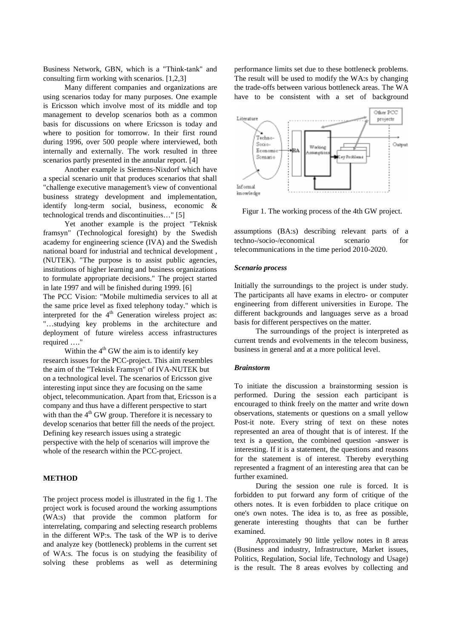Business Network, GBN, which is a "Think-tank" and consulting firm working with scenarios. [1,2,3]

Many different companies and organizations are using scenarios today for many purposes. One example is Ericsson which involve most of its middle and top management to develop scenarios both as a common basis for discussions on where Ericsson is today and where to position for tomorrow. In their first round during 1996, over 500 people where interviewed, both internally and externally. The work resulted in three scenarios partly presented in the annular report. [4]

Another example is Siemens-Nixdorf which have a special scenario unit that produces scenarios that shall "challenge executive management's view of conventional business strategy development and implementation, identify long-term social, business, economic & technological trends and discontinuities…" [5]

Yet another example is the project "Teknisk framsyn" (Technological foresight) by the Swedish academy for engineering science (IVA) and the Swedish national board for industrial and technical development , (NUTEK). "The purpose is to assist public agencies, institutions of higher learning and business organizations to formulate appropriate decisions." The project started in late 1997 and will be finished during 1999. [6] The PCC Vision: "Mobile multimedia services to all at the same price level as fixed telephony today." which is interpreted for the  $4<sup>th</sup>$  Generation wireless project as: "…studying key problems in the architecture and

deployment of future wireless access infrastructures required …." Within the  $4<sup>th</sup>$  GW the aim is to identify key research issues for the PCC-project. This aim resembles

the aim of the "Teknisk Framsyn" of IVA-NUTEK but on a technological level. The scenarios of Ericsson give interesting input since they are focusing on the same object, telecommunication. Apart from that, Ericsson is a company and thus have a different perspective to start with than the  $4<sup>th</sup>$  GW group. Therefore it is necessary to develop scenarios that better fill the needs of the project. Defining key research issues using a strategic perspective with the help of scenarios will improve the whole of the research within the PCC-project.

## **METHOD**

The project process model is illustrated in the fig 1. The project work is focused around the working assumptions (WA:s) that provide the common platform for interrelating, comparing and selecting research problems in the different WP:s. The task of the WP is to derive and analyze key (bottleneck) problems in the current set of WA:s. The focus is on studying the feasibility of solving these problems as well as determining

performance limits set due to these bottleneck problems. The result will be used to modify the WA:s by changing the trade-offs between various bottleneck areas. The WA have to be consistent with a set of background



Figur 1. The working process of the 4th GW project.

assumptions (BA:s) describing relevant parts of a techno-/socio-/economical scenario for telecommunications in the time period 2010-2020.

#### *Scenario process*

Initially the surroundings to the project is under study. The participants all have exams in electro- or computer engineering from different universities in Europe. The different backgrounds and languages serve as a broad basis for different perspectives on the matter.

The surroundings of the project is interpreted as current trends and evolvements in the telecom business, business in general and at a more political level.

#### *Brainstorm*

To initiate the discussion a brainstorming session is performed. During the session each participant is encouraged to think freely on the matter and write down observations, statements or questions on a small yellow Post-it note. Every string of text on these notes represented an area of thought that is of interest. If the text is a question, the combined question -answer is interesting. If it is a statement, the questions and reasons for the statement is of interest. Thereby everything represented a fragment of an interesting area that can be further examined.

During the session one rule is forced. It is forbidden to put forward any form of critique of the others notes. It is even forbidden to place critique on one's own notes. The idea is to, as free as possible, generate interesting thoughts that can be further examined.

Approximately 90 little yellow notes in 8 areas (Business and industry, Infrastructure, Market issues, Politics, Regulation, Social life, Technology and Usage) is the result. The 8 areas evolves by collecting and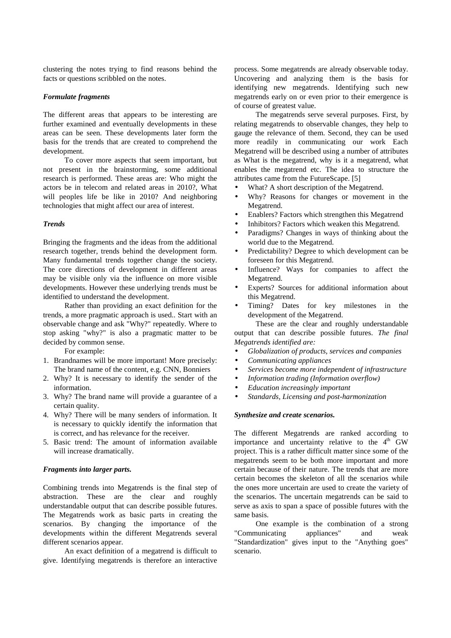clustering the notes trying to find reasons behind the facts or questions scribbled on the notes.

## *Formulate fragments*

The different areas that appears to be interesting are further examined and eventually developments in these areas can be seen. These developments later form the basis for the trends that are created to comprehend the development.

To cover more aspects that seem important, but not present in the brainstorming, some additional research is performed. These areas are: Who might the actors be in telecom and related areas in 2010?, What will peoples life be like in 2010? And neighboring technologies that might affect our area of interest.

#### *Trends*

Bringing the fragments and the ideas from the additional research together, trends behind the development form. Many fundamental trends together change the society. The core directions of development in different areas may be visible only via the influence on more visible developments. However these underlying trends must be identified to understand the development.

Rather than providing an exact definition for the trends, a more pragmatic approach is used.. Start with an observable change and ask "Why?" repeatedly. Where to stop asking "why?" is also a pragmatic matter to be decided by common sense.

For example:

- 1. Brandnames will be more important! More precisely: The brand name of the content, e.g. CNN, Bonniers
- 2. Why? It is necessary to identify the sender of the information.
- 3. Why? The brand name will provide a guarantee of a certain quality.
- 4. Why? There will be many senders of information. It is necessary to quickly identify the information that is correct, and has relevance for the receiver.
- 5. Basic trend: The amount of information available will increase dramatically.

#### *Fragments into larger parts.*

Combining trends into Megatrends is the final step of abstraction. These are the clear and roughly understandable output that can describe possible futures. The Megatrends work as basic parts in creating the scenarios. By changing the importance of the developments within the different Megatrends several different scenarios appear.

An exact definition of a megatrend is difficult to give. Identifying megatrends is therefore an interactive process. Some megatrends are already observable today. Uncovering and analyzing them is the basis for identifying new megatrends. Identifying such new megatrends early on or even prior to their emergence is of course of greatest value.

The megatrends serve several purposes. First, by relating megatrends to observable changes, they help to gauge the relevance of them. Second, they can be used more readily in communicating our work Each Megatrend will be described using a number of attributes as What is the megatrend, why is it a megatrend, what enables the megatrend etc. The idea to structure the attributes came from the FutureScape. [5]

- What? A short description of the Megatrend.
- Why? Reasons for changes or movement in the Megatrend.
- Enablers? Factors which strengthen this Megatrend
- Inhibitors? Factors which weaken this Megatrend.
- Paradigms? Changes in ways of thinking about the world due to the Megatrend.
- Predictability? Degree to which development can be foreseen for this Megatrend.
- Influence? Ways for companies to affect the Megatrend.
- Experts? Sources for additional information about this Megatrend.
- Timing? Dates for key milestones in the development of the Megatrend.

These are the clear and roughly understandable output that can describe possible futures. *The final Megatrends identified are:*

- *Globalization of products, services and companies*
- *Communicating appliances*
- *Services become more independent of infrastructure*
- *Information trading (Information overflow)*
- *Education increasingly important*
- *Standards, Licensing and post-harmonization*

#### *Synthesize and create scenarios.*

The different Megatrends are ranked according to importance and uncertainty relative to the  $4<sup>th</sup>$  GW project. This is a rather difficult matter since some of the megatrends seem to be both more important and more certain because of their nature. The trends that are more certain becomes the skeleton of all the scenarios while the ones more uncertain are used to create the variety of the scenarios. The uncertain megatrends can be said to serve as axis to span a space of possible futures with the same basis.

One example is the combination of a strong "Communicating appliances" and weak "Standardization" gives input to the "Anything goes" scenario.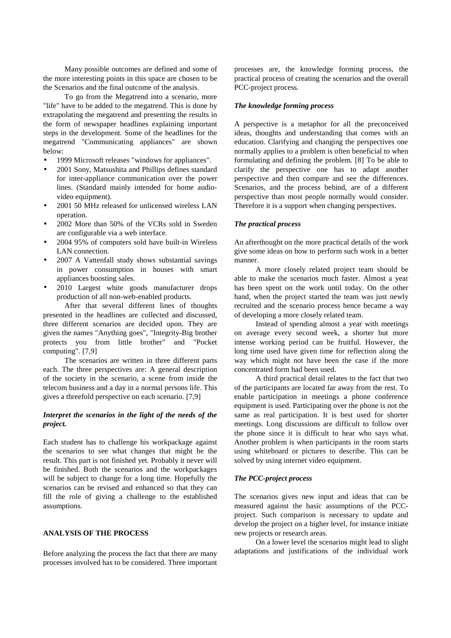Many possible outcomes are defined and some of the more interesting points in this space are chosen to be the Scenarios and the final outcome of the analysis.

To go from the Megatrend into a scenario, more "life" have to be added to the megatrend. This is done by extrapolating the megatrend and presenting the results in the form of newspaper headlines explaining important steps in the development. Some of the headlines for the megatrend "Communicating appliances" are shown below:

- 1999 Microsoft releases "windows for appliances".
- 2001 Sony, Matsushita and Phillips defines standard for inter-appliance communication over the power lines. (Standard mainly intended for home audiovideo equipment).
- 2001 50 MHz released for unlicensed wireless LAN operation.
- 2002 More than 50% of the VCRs sold in Sweden are configurable via a web interface.
- 2004 95% of computers sold have built-in Wireless LAN connection.
- 2007 A Vattenfall study shows substantial savings in power consumption in houses with smart appliances boosting sales.
- 2010 Largest white goods manufacturer drops production of all non-web-enabled products.

After that several different lines of thoughts presented in the headlines are collected and discussed, three different scenarios are decided upon. They are given the names "Anything goes", "Integrity-Big brother protects you from little brother" and "Pocket computing". [7,9]

The scenarios are written in three different parts each. The three perspectives are: A general description of the society in the scenario, a scene from inside the telecom business and a day in a normal persons life. This gives a threefold perspective on each scenario. [7,9]

# *Interpret the scenarios in the light of the needs of the project.*

Each student has to challenge his workpackage against the scenarios to see what changes that might be the result. This part is not finished yet. Probably it never will be finished. Both the scenarios and the workpackages will be subject to change for a long time. Hopefully the scenarios can be revised and enhanced so that they can fill the role of giving a challenge to the established assumptions.

#### **ANALYSIS OF THE PROCESS**

Before analyzing the process the fact that there are many processes involved has to be considered. Three important

processes are, the knowledge forming process, the practical process of creating the scenarios and the overall PCC-project process.

#### *The knowledge forming process*

A perspective is a metaphor for all the preconceived ideas, thoughts and understanding that comes with an education. Clarifying and changing the perspectives one normally applies to a problem is often beneficial to when formulating and defining the problem. [8] To be able to clarify the perspective one has to adapt another perspective and then compare and see the differences. Scenarios, and the process behind, are of a different perspective than most people normally would consider. Therefore it is a support when changing perspectives.

#### *The practical process*

An afterthought on the more practical details of the work give some ideas on how to perform such work in a better manner.

A more closely related project team should be able to make the scenarios much faster. Almost a year has been spent on the work until today. On the other hand, when the project started the team was just newly recruited and the scenario process hence became a way of developing a more closely related team.

Instead of spending almost a year with meetings on average every second week, a shorter but more intense working period can be fruitful. However, the long time used have given time for reflection along the way which might not have been the case if the more concentrated form had been used.

A third practical detail relates to the fact that two of the participants are located far away from the rest. To enable participation in meetings a phone conference equipment is used. Participating over the phone is not the same as real participation. It is best used for shorter meetings. Long discussions are difficult to follow over the phone since it is difficult to hear who says what. Another problem is when participants in the room starts using whiteboard or pictures to describe. This can be solved by using internet video equipment.

#### *The PCC-project process*

The scenarios gives new input and ideas that can be measured against the basic assumptions of the PCCproject. Such comparison is necessary to update and develop the project on a higher level, for instance initiate new projects or research areas.

On a lower level the scenarios might lead to slight adaptations and justifications of the individual work